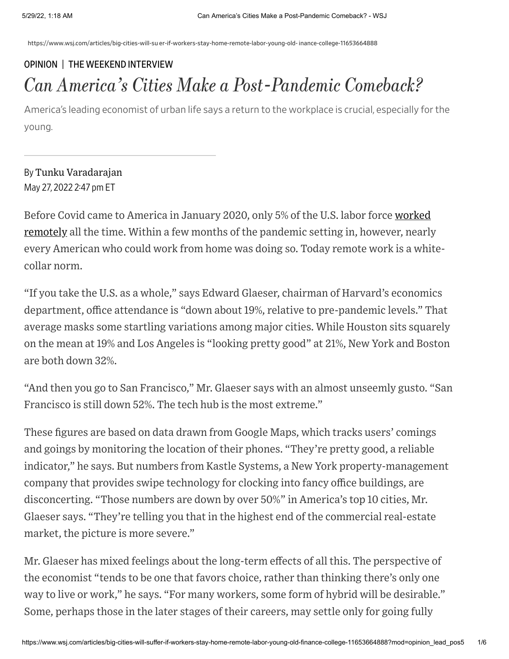https://www.wsj.com/articles/big-cities-will-su er-if-workers-stay-home-remote-labor-young-old- inance-college-11653664888

## [OPINION](https://www.wsj.com/news/opinion?mod=breadcrumb) | [THE WEEKEND INTERVIEW](https://www.wsj.com/news/types/the-saturday-interview?mod=breadcrumb) Can America's Cities Make a Post-Pandemic Comeback?

America's leading economist of urban life says a return to the workplace is crucial, especially for the young.

## By Tunku Varadarajan May 27, 2022 2:47 pm ET

Before Covid came to America in January 2020, only 5% of the U.S. labor force worked [remotely all the time. Within a few months of the pandemic setting in, however, nearly](https://scholar.harvard.edu/files/eharrington/files/harrington_jmp_working_remotely.pdf) every American who could work from home was doing so. Today remote work is a whitecollar norm.

"If you take the U.S. as a whole," says Edward Glaeser, chairman of Harvard's economics department, office attendance is "down about 19%, relative to pre-pandemic levels." That average masks some startling variations among major cities. While Houston sits squarely on the mean at 19% and Los Angeles is "looking pretty good" at 21%, New York and Boston are both down 32%.

"And then you go to San Francisco," Mr. Glaeser says with an almost unseemly gusto. "San Francisco is still down 52%. The tech hub is the most extreme."

These figures are based on data drawn from Google Maps, which tracks users' comings and goings by monitoring the location of their phones. "They're pretty good, a reliable indicator," he says. But numbers from Kastle Systems, a New York property-management company that provides swipe technology for clocking into fancy office buildings, are disconcerting. "Those numbers are down by over 50%" in America's top 10 cities, Mr. Glaeser says. "They're telling you that in the highest end of the commercial real-estate market, the picture is more severe."

Mr. Glaeser has mixed feelings about the long-term effects of all this. The perspective of the economist "tends to be one that favors choice, rather than thinking there's only one way to live or work," he says. "For many workers, some form of hybrid will be desirable." Some, perhaps those in the later stages of their careers, may settle only for going fully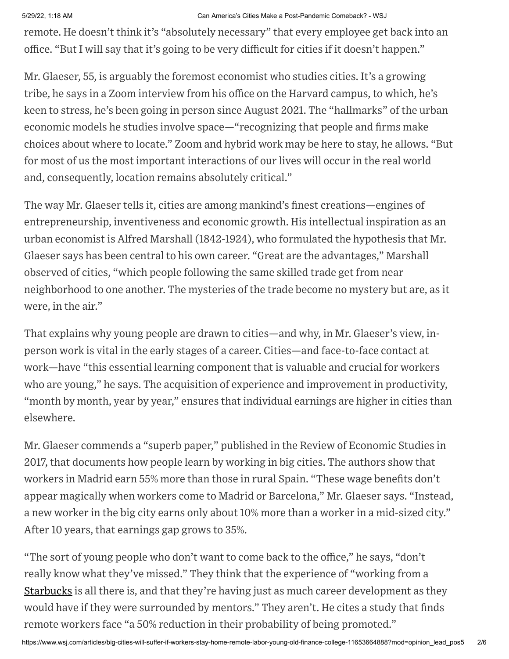## 5/29/22, 1:18 AM Can America's Cities Make a Post-Pandemic Comeback? - WSJ

remote. He doesn't think it's "absolutely necessary" that every employee get back into an office. "But I will say that it's going to be very difficult for cities if it doesn't happen."

Mr. Glaeser, 55, is arguably the foremost economist who studies cities. It's a growing tribe, he says in a Zoom interview from his office on the Harvard campus, to which, he's keen to stress, he's been going in person since August 2021. The "hallmarks" of the urban economic models he studies involve space—"recognizing that people and firms make choices about where to locate." Zoom and hybrid work may be here to stay, he allows. "But for most of us the most important interactions of our lives will occur in the real world and, consequently, location remains absolutely critical."

The way Mr. Glaeser tells it, cities are among mankind's finest creations—engines of entrepreneurship, inventiveness and economic growth. His intellectual inspiration as an urban economist is Alfred Marshall (1842-1924), who formulated the hypothesis that Mr. Glaeser says has been central to his own career. "Great are the advantages," Marshall observed of cities, "which people following the same skilled trade get from near neighborhood to one another. The mysteries of the trade become no mystery but are, as it were, in the air."

That explains why young people are drawn to cities—and why, in Mr. Glaeser's view, inperson work is vital in the early stages of a career. Cities—and face-to-face contact at work—have "this essential learning component that is valuable and crucial for workers who are young," he says. The acquisition of experience and improvement in productivity, "month by month, year by year," ensures that individual earnings are higher in cities than elsewhere.

Mr. Glaeser commends a "superb paper," published in the Review of Economic Studies in 2017, that documents how people learn by working in big cities. The authors show that workers in Madrid earn 55% more than those in rural Spain. "These wage benefits don't appear magically when workers come to Madrid or Barcelona," Mr. Glaeser says. "Instead, a new worker in the big city earns only about 10% more than a worker in a mid-sized city." After 10 years, that earnings gap grows to 35%.

"The sort of young people who don't want to come back to the office," he says, "don't really know what they've missed." They think that the experience of "working from a [Starbucks](https://www.wsj.com/market-data/quotes/SBUX) is all there is, and that they're having just as much career development as they would have if they were surrounded by mentors." They aren't. He cites a study that finds remote workers face "a 50% reduction in their probability of being promoted."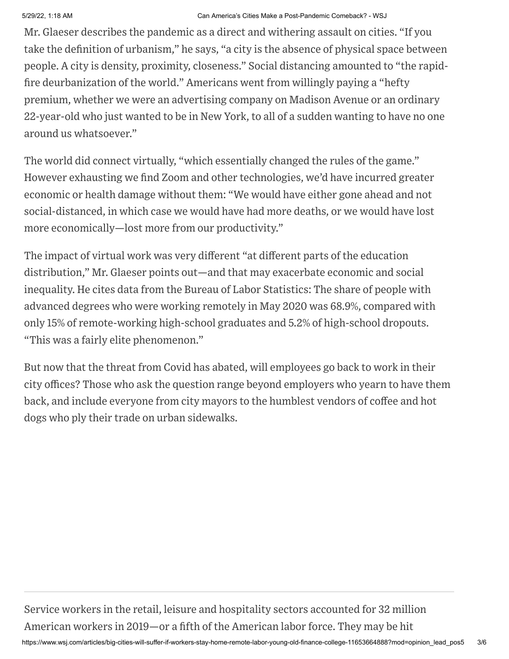Mr. Glaeser describes the pandemic as a direct and withering assault on cities. "If you take the definition of urbanism," he says, "a city is the absence of physical space between people. A city is density, proximity, closeness." Social distancing amounted to "the rapidfire deurbanization of the world." Americans went from willingly paying a "hefty premium, whether we were an advertising company on Madison Avenue or an ordinary 22-year-old who just wanted to be in New York, to all of a sudden wanting to have no one around us whatsoever."

The world did connect virtually, "which essentially changed the rules of the game." However exhausting we find Zoom and other technologies, we'd have incurred greater economic or health damage without them: "We would have either gone ahead and not social-distanced, in which case we would have had more deaths, or we would have lost more economically—lost more from our productivity."

The impact of virtual work was very different "at different parts of the education distribution," Mr. Glaeser points out—and that may exacerbate economic and social inequality. He cites data from the Bureau of Labor Statistics: The share of people with advanced degrees who were working remotely in May 2020 was 68.9%, compared with only 15% of remote-working high-school graduates and 5.2% of high-school dropouts. "This was a fairly elite phenomenon."

But now that the threat from Covid has abated, will employees go back to work in their city offices? Those who ask the question range beyond employers who yearn to have them back, and include everyone from city mayors to the humblest vendors of coffee and hot dogs who ply their trade on urban sidewalks.

Service workers in the retail, leisure and hospitality sectors accounted for 32 million American workers in 2019—or a fifth of the American labor force. They may be hit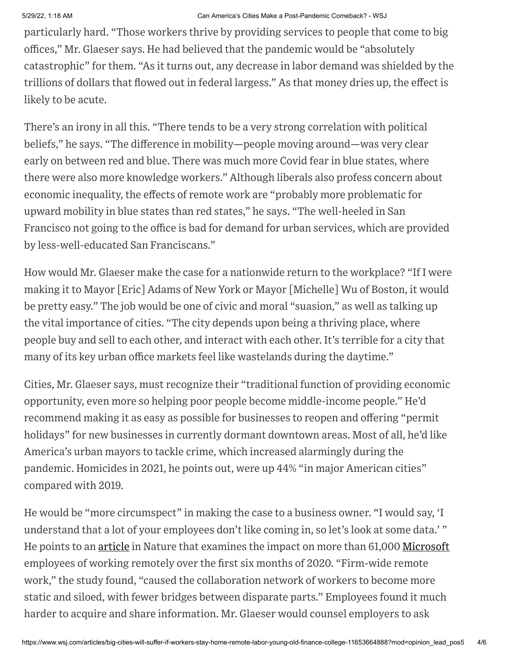particularly hard. "Those workers thrive by providing services to people that come to big offices," Mr. Glaeser says. He had believed that the pandemic would be "absolutely catastrophic" for them. "As it turns out, any decrease in labor demand was shielded by the trillions of dollars that flowed out in federal largess." As that money dries up, the effect is likely to be acute.

There's an irony in all this. "There tends to be a very strong correlation with political beliefs," he says. "The difference in mobility—people moving around—was very clear early on between red and blue. There was much more Covid fear in blue states, where there were also more knowledge workers." Although liberals also profess concern about economic inequality, the effects of remote work are "probably more problematic for upward mobility in blue states than red states," he says. "The well-heeled in San Francisco not going to the office is bad for demand for urban services, which are provided by less-well-educated San Franciscans."

How would Mr. Glaeser make the case for a nationwide return to the workplace? "If I were making it to Mayor [Eric] Adams of New York or Mayor [Michelle] Wu of Boston, it would be pretty easy." The job would be one of civic and moral "suasion," as well as talking up the vital importance of cities. "The city depends upon being a thriving place, where people buy and sell to each other, and interact with each other. It's terrible for a city that many of its key urban office markets feel like wastelands during the daytime."

Cities, Mr. Glaeser says, must recognize their "traditional function of providing economic opportunity, even more so helping poor people become middle-income people." He'd recommend making it as easy as possible for businesses to reopen and offering "permit holidays" for new businesses in currently dormant downtown areas. Most of all, he'd like America's urban mayors to tackle crime, which increased alarmingly during the pandemic. Homicides in 2021, he points out, were up 44% "in major American cities" compared with 2019.

He would be "more circumspect" in making the case to a business owner. "I would say, 'I understand that a lot of your employees don't like coming in, so let's look at some data.' " He points to an *[article](https://www.nature.com/articles/s41562-021-01196-4.epdf?sharing_token=Y2NfpCTufFUY9w8hNKQJztRgN0jAjWel9jnR3ZoTv0OOhSq0NGveMAtLpI-YFS5N8Gf7evY7LOasHiFR52xeQq0j5DlIvzfzeYKiulepoWip9LPqKqMdlCe-B6rb30mHZ90Gut07-B5eZGG2F0ZPyiVc2g0yIr_quZywcEWWgZ4=)* in Nature that examines the impact on more than 61,000 [Microsoft](https://www.wsj.com/market-data/quotes/MSFT) employees of working remotely over the first six months of 2020. "Firm-wide remote work," the study found, "caused the collaboration network of workers to become more static and siloed, with fewer bridges between disparate parts." Employees found it much harder to acquire and share information. Mr. Glaeser would counsel employers to ask